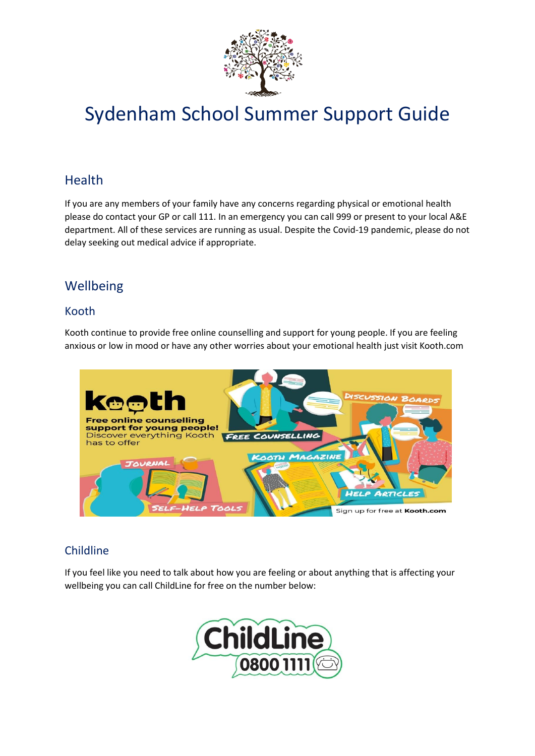

# Sydenham School Summer Support Guide

# **Health**

If you are any members of your family have any concerns regarding physical or emotional health please do contact your GP or call 111. In an emergency you can call 999 or present to your local A&E department. All of these services are running as usual. Despite the Covid-19 pandemic, please do not delay seeking out medical advice if appropriate.

# Wellbeing

## Kooth

Kooth continue to provide free online counselling and support for young people. If you are feeling anxious or low in mood or have any other worries about your emotional health just visit Kooth.com



# Childline

If you feel like you need to talk about how you are feeling or about anything that is affecting your wellbeing you can call ChildLine for free on the number below:

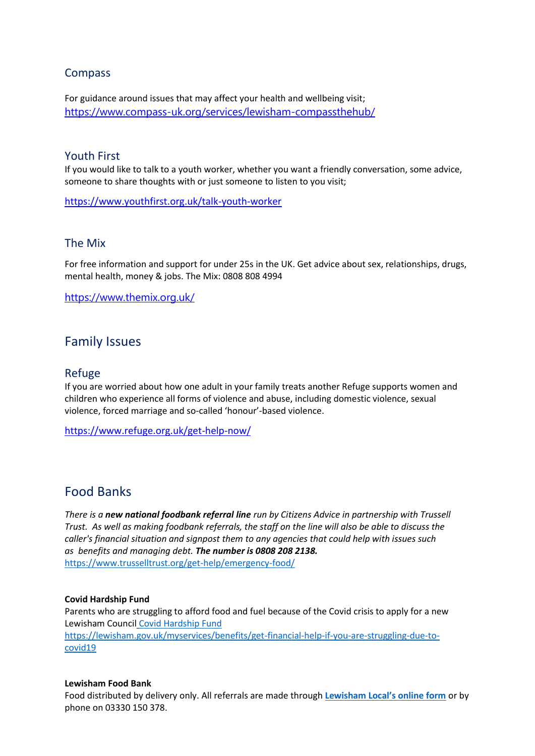## Compass

For guidance around issues that may affect your health and wellbeing visit; <https://www.compass-uk.org/services/lewisham-compassthehub/>

## Youth First

If you would like to talk to a youth worker, whether you want a friendly conversation, some advice, someone to share thoughts with or just someone to listen to you visit;

<https://www.youthfirst.org.uk/talk-youth-worker>

## The Mix

For free information and support for under 25s in the UK. Get advice about sex, relationships, drugs, mental health, money & jobs. The Mix: 0808 808 4994

<https://www.themix.org.uk/>

## Family Issues

## Refuge

If you are worried about how one adult in your family treats another Refuge supports women and children who experience all forms of violence and abuse, including domestic violence, sexual violence, forced marriage and so-called 'honour'-based violence.

<https://www.refuge.org.uk/get-help-now/>

## Food Banks

*There is a new national foodbank referral line run by Citizens Advice in partnership with Trussell Trust. As well as making foodbank referrals, the staff on the line will also be able to discuss the caller's financial situation and signpost them to any agencies that could help with issues such as benefits and managing debt. The number is 0808 208 2138.* <https://www.trusselltrust.org/get-help/emergency-food/>

#### **Covid Hardship Fund**

Parents who are struggling to afford food and fuel because of the Covid crisis to apply for a new Lewisham Council [Covid Hardship Fund](https://lewisham.gov.uk/myservices/benefits/get-financial-help-if-you-are-struggling-due-to-covid19) [https://lewisham.gov.uk/myservices/benefits/get-financial-help-if-you-are-struggling-due-to](https://lewisham.gov.uk/myservices/benefits/get-financial-help-if-you-are-struggling-due-to-covid19)[covid19](https://lewisham.gov.uk/myservices/benefits/get-financial-help-if-you-are-struggling-due-to-covid19)

#### **Lewisham Food Bank**

Food distributed by delivery only. All referrals are made through **[Lewisham Local's online form](https://www.lewishamlocal.com/request-support/)** or by phone on 03330 150 378.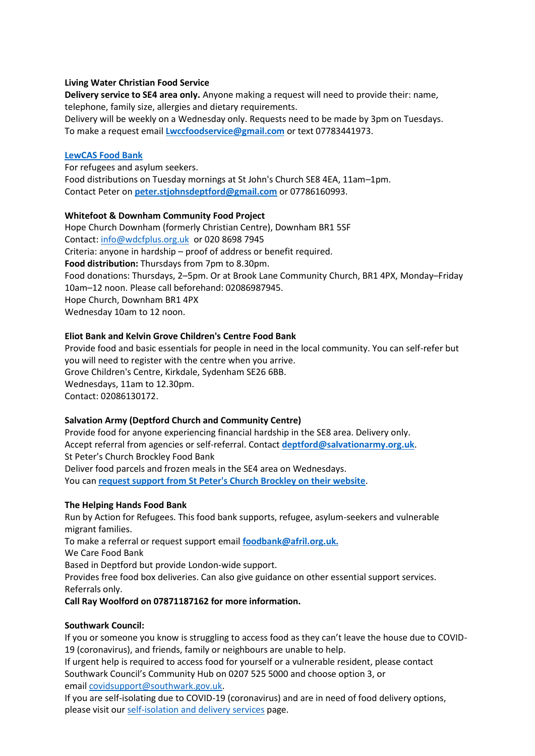#### **Living Water Christian Food Service**

**Delivery service to SE4 area only.** Anyone making a request will need to provide their: name, telephone, family size, allergies and dietary requirements. Delivery will be weekly on a Wednesday only. Requests need to be made by 3pm on Tuesdays. To make a request email **[Lwccfoodservice@gmail.com](https://lewisham.gov.uk/mayorandcouncil/community-support/communityledprojects/Lwccfoodservice@gmail.com)** or text 07783441973.

#### **[LewCAS Food Bank](https://www.lewcas.org.uk/)**

For refugees and asylum seekers. Food distributions on Tuesday mornings at St John's Church SE8 4EA, 11am–1pm. Contact Peter on **[peter.stjohnsdeptford@gmail.com](mailto:peter.stjohnsdeptford@gmail.com)** or 07786160993.

#### **Whitefoot & Downham Community Food Project**

Hope Church Downham (formerly Christian Centre), Downham BR1 5SF Contact: [info@wdcfplus.org.uk](mailto:info@wdcfplus.org.uk) or 020 8698 7945 Criteria: anyone in hardship – proof of address or benefit required. **Food distribution:** Thursdays from 7pm to 8.30pm. Food donations: Thursdays, 2–5pm. Or at Brook Lane Community Church, BR1 4PX, Monday–Friday 10am–12 noon. Please call beforehand: 02086987945. Hope Church, Downham BR1 4PX Wednesday 10am to 12 noon.

#### **Eliot Bank and Kelvin Grove Children's Centre Food Bank**

Provide food and basic essentials for people in need in the local community. You can self-refer but you will need to register with the centre when you arrive. Grove Children's Centre, Kirkdale, Sydenham SE26 6BB. Wednesdays, 11am to 12.30pm. Contact: 02086130172.

#### **Salvation Army (Deptford Church and Community Centre)**

Provide food for anyone experiencing financial hardship in the SE8 area. Delivery only. Accept referral from agencies or self-referral. Contact **[deptford@salvationarmy.org.uk](https://lewisham.gov.uk/mayorandcouncil/community-support/communityledprojects/deptford@salvationarmy.org.uk)**. St Peter's Church Brockley Food Bank Deliver food parcels and frozen meals in the SE4 area on Wednesdays. You can **[request support from St Peter's Church Brockley on their website](https://www.stpetersbrockley.org.uk/feedback-food-request)**.

#### **The Helping Hands Food Bank**

Run by Action for Refugees. This food bank supports, refugee, asylum-seekers and vulnerable migrant families.

To make a referral or request support email **[foodbank@afril.org.uk.](mailto:%20foodbank@afril.org.uk)**

We Care Food Bank

Based in Deptford but provide London-wide support.

Provides free food box deliveries. Can also give guidance on other essential support services. Referrals only.

### **Call Ray Woolford on 07871187162 for more information.**

#### **Southwark Council:**

If you or someone you know is struggling to access food as they can't leave the house due to COVID-19 (coronavirus), and friends, family or neighbours are unable to help.

If urgent help is required to access food for yourself or a vulnerable resident, please contact Southwark Council's Community Hub on 0207 525 5000 and choose option 3, or email [covidsupport@southwark.gov.uk.](mailto:covidsupport@southwark.gov.uk)

If you are self-isolating due to COVID-19 (coronavirus) and are in need of food delivery options, please visit our [self-isolation and delivery services](https://www.southwark.gov.uk/health-and-wellbeing/public-health/for-the-public/coronavirus/food-access?chapter=2) page.